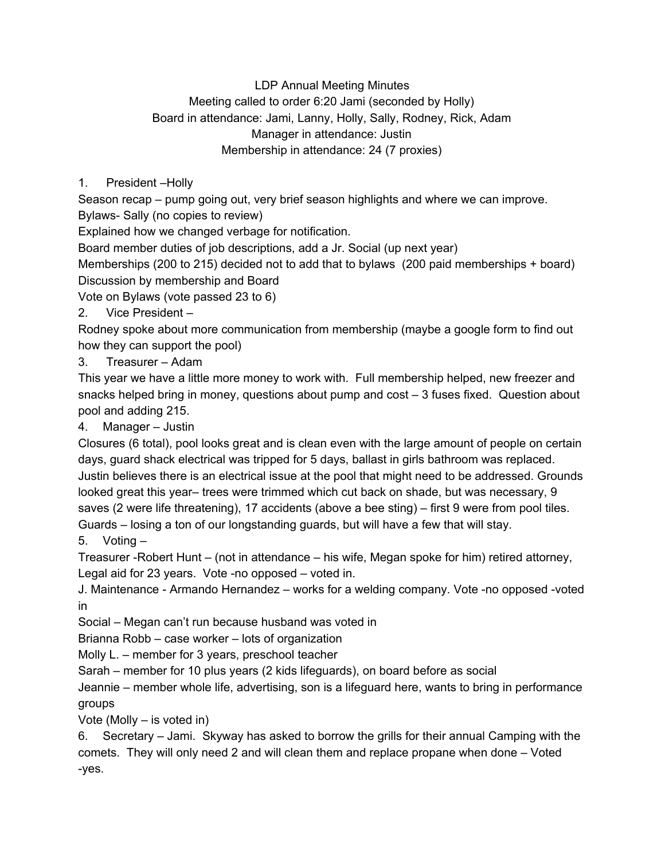## LDP Annual Meeting Minutes Meeting called to order 6:20 Jami (seconded by Holly) Board in attendance: Jami, Lanny, Holly, Sally, Rodney, Rick, Adam Manager in attendance: Justin Membership in attendance: 24 (7 proxies)

## 1. President –Holly

Season recap – pump going out, very brief season highlights and where we can improve. Bylaws- Sally (no copies to review)

Explained how we changed verbage for notification.

Board member duties of job descriptions, add a Jr. Social (up next year)

Memberships (200 to 215) decided not to add that to bylaws (200 paid memberships + board) Discussion by membership and Board

Vote on Bylaws (vote passed 23 to 6)

2. Vice President –

Rodney spoke about more communication from membership (maybe a google form to find out how they can support the pool)

3. Treasurer – Adam

This year we have a little more money to work with. Full membership helped, new freezer and snacks helped bring in money, questions about pump and cost – 3 fuses fixed. Question about pool and adding 215.

4. Manager – Justin

Closures (6 total), pool looks great and is clean even with the large amount of people on certain days, guard shack electrical was tripped for 5 days, ballast in girls bathroom was replaced. Justin believes there is an electrical issue at the pool that might need to be addressed. Grounds looked great this year– trees were trimmed which cut back on shade, but was necessary, 9 saves (2 were life threatening), 17 accidents (above a bee sting) – first 9 were from pool tiles. Guards – losing a ton of our longstanding guards, but will have a few that will stay.

5. Voting –

Treasurer -Robert Hunt – (not in attendance – his wife, Megan spoke for him) retired attorney, Legal aid for 23 years. Vote -no opposed – voted in.

J. Maintenance - Armando Hernandez – works for a welding company. Vote -no opposed -voted in

Social – Megan can't run because husband was voted in

Brianna Robb – case worker – lots of organization

Molly L. – member for 3 years, preschool teacher

Sarah – member for 10 plus years (2 kids lifeguards), on board before as social

Jeannie – member whole life, advertising, son is a lifeguard here, wants to bring in performance groups

Vote (Molly – is voted in)

6. Secretary – Jami. Skyway has asked to borrow the grills for their annual Camping with the comets. They will only need 2 and will clean them and replace propane when done – Voted -yes.